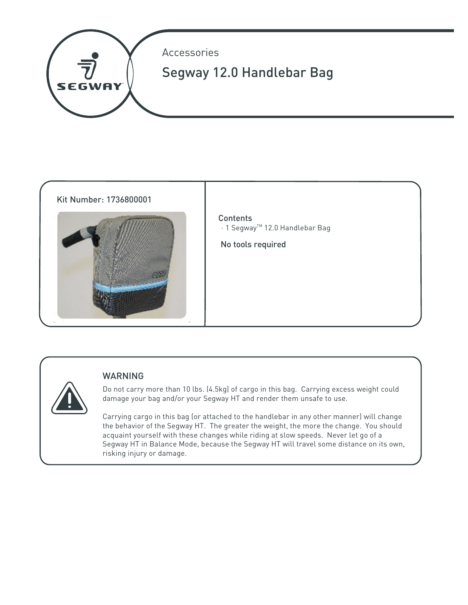



# WARNING

Do not carry more than 10 lbs. (4.5kg) of cargo in this bag. Carrying excess weight could damage your bag and/or your Segway HT and render them unsafe to use.

Carrying cargo in this bag (or attached to the handlebar in any other manner) will change the behavior of the Segway HT. The greater the weight, the more the change. You should acquaint yourself with these changes while riding at slow speeds. Never let go of a Segway HT in Balance Mode, because the Segway HT will travel some distance on its own, risking injury or damage.